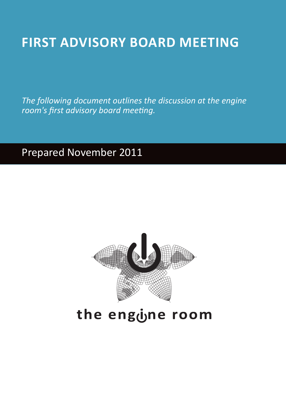# **EXPLOSIVE IN A PROPERTING A DWISORY ROARD MEETING FIRST ADVISORY BOARD MEETING**

The following document outlines the discussion at the engine room's first advisory board meeting.

# Prepared November 2011



# the engone room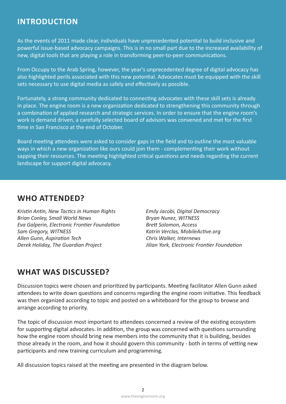## **Introduction**

As the events of 2011 made clear, individuals have unprecedented potential to build inclusive and powerful issue-based advocacy campaigns. This is in no small part due to the increased availability of new, digital tools that are playing a role in transforming peer-to-peer communications.

From Occupy to the Arab Spring, however, the year's unprecedented degree of digital advocacy has also highlighted perils associated with this new potential. Advocates must be equipped with the skill sets necessary to use digital media as safely and effectively as possible.

Fortunately, a strong community dedicated to connecting advocates with these skill sets is already in place. The engine room is a new organization dedicated to strengthening this community through a combination of applied research and strategic services. In order to ensure that the engine room's work is demand driven, a carefully selected board of advisors was convened and met for the first time in San Francisco at the end of October.

Board meeting attendees were asked to consider gaps in the field and to outline the most valuable ways in which a new organization like ours could join them - complementing their work without sapping their resources. The meeting highlighted critical questions and needs regarding the current landscape for support digital advocacy.

## **WHO ATTENDED?**

*Kristin Antin, New Tactics in Human Rights* **Brian Conley, Small World News** *Eva Galperin, Electronic Frontier Foundation* **Sam Gregory, WITNESS Allen Gunn, Aspiration Tech** *Perek Holiday, The Guardian Project* 

**Emily Jacobi, Digital Democracy Bryan Nunez, WITNESS** *Brett Solomon, Access* Katrin Verclas, MobileActive.org **Chris Walker, Internews** *Jilian York, Electronic Frontier Foundation* 

# **WHAT WAS DISCUSSED?**

Discussion topics were chosen and prioritized by participants. Meeting facilitator Allen Gunn asked attendees to write down questions and concerns regarding the engine room initiative. This feedback was then organized according to topic and posted on a whiteboard for the group to browse and arrange according to priority.

The topic of discussion most important to attendees concerned a review of the existing ecosystem for supporting digital advocates. In addition, the group was concerned with questions surrounding how the engine room should bring new members into the community that it is building, besides those already in the room, and how it should govern this community - both in terms of vetting new participants and new training curriculum and programming.

All discussion topics raised at the meeting are presented in the diagram below.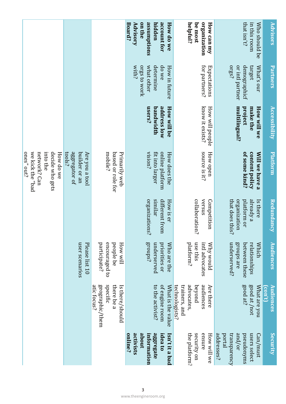|                                                                                               |                                                            |                                                                             | assumptions<br>account for<br>on the<br>Advisory<br>hidden<br>How do we<br>Board?      | organization<br>helpful?<br>be most<br>How can my                                 | Who should be<br>that isn't?<br>in this room                                                   | <b>Advisors</b>                                     |
|-----------------------------------------------------------------------------------------------|------------------------------------------------------------|-----------------------------------------------------------------------------|----------------------------------------------------------------------------------------|-----------------------------------------------------------------------------------|------------------------------------------------------------------------------------------------|-----------------------------------------------------|
|                                                                                               |                                                            |                                                                             | determine<br>do we<br>Orgs to work<br>what other<br>with?<br>How in future             | for partners?<br>Expectations                                                     | crgs?<br>or intl partner<br>demographicf<br>target<br>What's our                               | Partners                                            |
|                                                                                               |                                                            |                                                                             | address low<br>users?<br>bandwidth<br><b>How will be</b>                               | know it exists?<br>How will people                                                | multilingual?<br>project<br>make the<br>How will we                                            | Accessibility                                       |
| bad" ehick the "bad<br>network? Can<br>into the<br>decide who gets<br>ones" out?<br>How do we | aggregator of<br>tools?<br>builder or an<br>Are you a tool | mobile?<br>based or role for<br>Primarily web                               | vision?<br>online platform<br>fit into larger<br>How does the                          | source is it?<br>How open                                                         | of some kind?<br>content policy<br>Will we have a                                              | <u>Platform</u>                                     |
|                                                                                               |                                                            |                                                                             | similar<br>different from<br>organizations?<br>How is er                               | collaboration?<br>versus<br>Competition                                           | already a<br>that does this?<br>organization<br>platform or<br>Is there                        | <b>Redundancy</b>                                   |
|                                                                                               | user scenarios<br>Please list 10                           | encouraged to<br>people be<br>participate?<br>How will                      | groups?<br>underserved<br>priorities or<br>Who are the                                 | platform?<br>use this<br>intl advocates<br><b>Mhy would</b>                       | groups are<br><b>Which</b><br>underserved?<br>between these<br>relationships                   | Audiences                                           |
|                                                                                               |                                                            | specific<br>there be a<br>atic focus?<br>geographic/them<br>Is there/should | to the activist?<br>of engine room<br>What is the value                                | audiences<br>technologists?<br>advocates,<br>Are there<br>trainers, and<br>beyond | good at?<br>good at /not<br>What are you                                                       | Audiences<br>$(\overline{\mathrm{con}^{\prime} t})$ |
|                                                                                               |                                                            |                                                                             | activists<br>about<br>aggregate<br>idea to<br>online?<br>Isn't it a bad<br>information | security on<br>ensure<br>the platform?<br>How will we                             | and/or<br>addresses?<br><i>consparency</i><br>pseudonyms<br>portal<br>users select<br>Can/must | Security                                            |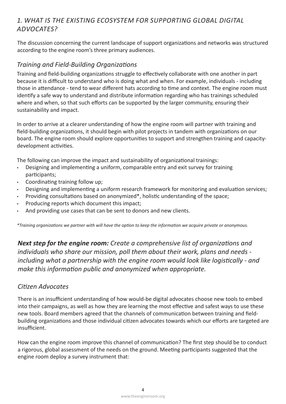#### *Digital Global Supporting for Ecosystem Existing the is What 1. ?Advocates*

The discussion concerning the current landscape of support organizations and networks was structured according to the engine room's three primary audiences.

#### **Training and Field-Building Organizations**

Training and field-building organizations struggle to effectively collaborate with one another in part because it is difficult to understand who is doing what and when. For example, individuals - including those in attendance - tend to wear different hats according to time and context. The engine room must identify a safe way to understand and distribute information regarding who has trainings scheduled where and when, so that such efforts can be supported by the larger community, ensuring their sustainability and impact.

In order to arrive at a clearer understanding of how the engine room will partner with training and field-building organizations, it should begin with pilot projects in tandem with organizations on our board. The engine room should explore opportunities to support and strengthen training and capacity-<br>development activities.

The following can improve the impact and sustainability of organizational trainings:

- Designing and implementing a uniform, comparable entry and exit survey for training ;participants
- Coordinating training follow up;
- Designing and implementing a uniform research framework for monitoring and evaluation services;
- Providing consultations based on anonymized\*, holistic understanding of the space;
- Producing reports which document this impact;
- And providing use cases that can be sent to donors and new clients.

*.anonymous or private acquire we information the keep to option the have will with partner we organizations Training\**

*Next step for the engine room: Create a comprehensive list of organizations and* individuals who share our mission, poll them about their work, plans and needs *including what a partnership with the engine room would look like logistically - and make this information public and anonymized when appropriate.* 

#### *Advocates Citizen*

There is an insufficient understanding of how would-be digital advocates choose new tools to embed into their campaigns, as well as how they are learning the most effective and safest ways to use these building organizations and those individual citizen advocates towards which our efforts are targeted are new tools. Board members agreed that the channels of communication between training and field-.insufficient

How can the engine room improve this channel of communication? The first step should be to conduct a rigorous, global assessment of the needs on the ground. Meeting participants suggested that the engine room deploy a survey instrument that: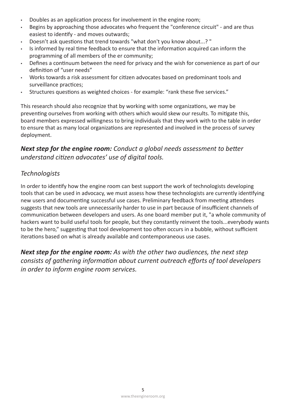- Doubles as an application process for involvement in the engine room;
- Begins by approaching those advocates who frequent the "conference circuit" and are thus easiest to identify - and moves outwards;
- . Doesn't ask questions that trend towards "what don't you know about...? "
- ighthe informed by real time feedback to ensure that the information acquired can inform the programming of all members of the er community;
- Defines a continuum between the need for privacy and the wish for convenience as part of our definition of "user needs"
- Works towards a risk assessment for citizen advocates based on predominant tools and surveillance practices;
- Structures questions as weighted choices for example: "rank these five services."

This research should also recognize that by working with some organizations, we may be preventing ourselves from working with others which would skew our results. To mitigate this, board members expressed willingness to bring individuals that they work with to the table in order to ensure that as many local organizations are represented and involved in the process of survey deployment.

#### *Next step for the engine room: Conduct a global needs assessment to better understand citizen advocates' use of digital tools.*

#### *Technologists*

In order to identify how the engine room can best support the work of technologists developing tools that can be used in advocacy, we must assess how these technologists are currently identifying new users and documenting successful use cases. Preliminary feedback from meeting attendees suggests that new tools are unnecessarily harder to use in part because of insufficient channels of communication between developers and users. As one board member put it, "a whole community of hackers want to build useful tools for people, but they constantly reinvent the tools...everybody wants to be the hero," suggesting that tool development too often occurs in a bubble, without sufficient iterations based on what is already available and contemporaneous use cases.

*Next step for the engine room: As with the other two audiences, the next step consists of gathering information about current outreach efforts of tool developers in order to inform engine room services.*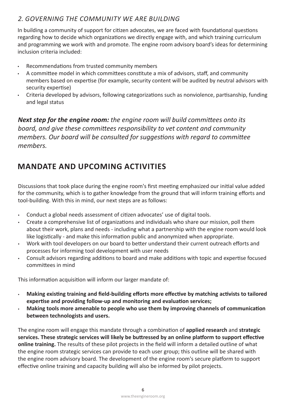#### *building are we Community the Governing 2.*

In building a community of support for citizen advocates, we are faced with foundational questions regarding how to decide which organizations we directly engage with, and which training curriculum and programming we work with and promote. The engine room advisory board's ideas for determining inclusion criteria included:

- Recommendations from trusted community members
- Fig. and committee model in which committees constitute a mix of advisors, staff, and community members based on expertise (for example, security content will be audited by neutral advisors with security expertise)
- Criteria developed by advisors, following categorizations such as nonviolence, partisanship, funding and legal status

*Next step for the engine room: the engine room will build committees onto its board, and give these committees responsibility to vet content and community members. Our board will be consulted for suggestions with regard to committee .members*

# **MANDATE AND UPCOMING ACTIVITIES**

Discussions that took place during the engine room's first meeting emphasized our initial value added for the community, which is to gather knowledge from the ground that will inform training efforts and tool-building. With this in mind, our next steps are as follows:

- . Conduct a global needs assessment of citizen advocates' use of digital tools.
- Create a comprehensive list of organizations and individuals who share our mission, poll them about their work, plans and needs - including what a partnership with the engine room would look like logistically - and make this information public and anonymized when appropriate.
- Work with tool developers on our board to better understand their current outreach efforts and processes for informing tool development with user needs
- Consult advisors regarding additions to board and make additions with topic and expertise focused committees in mind

This information acquisition will inform our larger mandate of:

- **Making existing training and field-building efforts more effective by matching activists to tailored** expertise and providing follow-up and monitoring and evaluation services;
- **Making tools more amenable to people who use them by improving channels of communication between technologists and users.**

The engine room will engage this mandate through a combination of **applied research** and strategic services. These strategic services will likely be buttressed by an online platform to support effective online training. The results of these pilot projects in the field will inform a detailed outline of what the engine room strategic services can provide to each user group; this outline will be shared with the engine room advisory board. The development of the engine room's secure platform to support effective online training and capacity building will also be informed by pilot projects.